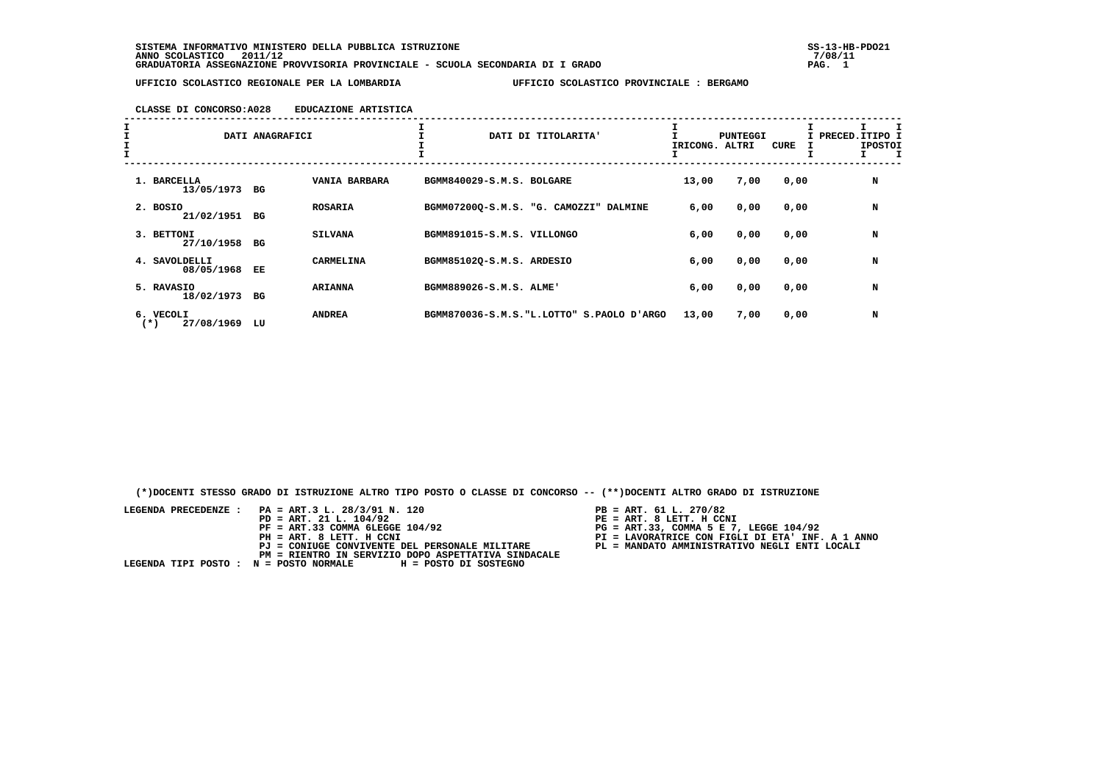**SISTEMA INFORMATIVO MINISTERO DELLA PUBBLICA ISTRUZIONE SS-13-HB-PDO21 ANNO SCOLASTICO 2011/12 7/08/11 GRADUATORIA ASSEGNAZIONE PROVVISORIA PROVINCIALE - SCUOLA SECONDARIA DI I GRADO PAG. 1**

 **UFFICIO SCOLASTICO REGIONALE PER LA LOMBARDIA UFFICIO SCOLASTICO PROVINCIALE : BERGAMO**

### **CLASSE DI CONCORSO:A028 EDUCAZIONE ARTISTICA**

| $\mathbf{I}$ |                                     | DATI ANAGRAFICI |                |                            | DATI DI TITOLARITA'                        | IRICONG. ALTRI | <b>PUNTEGGI</b> | CURE | I PRECED. ITIPO I<br><b>IPOSTOI</b> |
|--------------|-------------------------------------|-----------------|----------------|----------------------------|--------------------------------------------|----------------|-----------------|------|-------------------------------------|
|              | 1. BARCELLA<br>13/05/1973 BG        |                 | VANIA BARBARA  | BGMM840029-S.M.S. BOLGARE  |                                            | 13,00          | 7,00            | 0,00 | N                                   |
|              | 2. BOSIO<br>21/02/1951 BG           |                 | <b>ROSARIA</b> |                            | BGMM07200Q-S.M.S. "G. CAMOZZI" DALMINE     | 6,00           | 0,00            | 0,00 | N                                   |
|              | 3. BETTONI<br>27/10/1958            | BG              | <b>SILVANA</b> | BGMM891015-S.M.S. VILLONGO |                                            | 6,00           | 0,00            | 0,00 | N                                   |
|              | 4. SAVOLDELLI<br>08/05/1968         | EE              | CARMELINA      | BGMM85102Q-S.M.S. ARDESIO  |                                            | 6,00           | 0,00            | 0,00 | N                                   |
|              | 5. RAVASIO<br>18/02/1973 BG         |                 | <b>ARIANNA</b> | BGMM889026-S.M.S. ALME'    |                                            | 6,00           | 0,00            | 0,00 | N                                   |
|              | 6. VECOLI<br>27/08/1969<br>$^{(*)}$ | LU              | <b>ANDREA</b>  |                            | BGMM870036-S.M.S. "L.LOTTO" S.PAOLO D'ARGO | 13,00          | 7,00            | 0,00 | N                                   |

 **(\*)DOCENTI STESSO GRADO DI ISTRUZIONE ALTRO TIPO POSTO O CLASSE DI CONCORSO -- (\*\*)DOCENTI ALTRO GRADO DI ISTRUZIONE**

| LEGENDA PRECEDENZE : PA = ART.3 L. 28/3/91 N. 120            | $PB = ART. 61 L. 270/82$                         |
|--------------------------------------------------------------|--------------------------------------------------|
| $PD = ART. 21 L. 104/92$                                     | PE = ART. 8 LETT. H CCNI                         |
| $PF = ART.33 COMMA 6LEGGE 104/92$                            | $PG = ART.33$ , COMMA 5 E 7, LEGGE 104/92        |
| PH = ART. 8 LETT. H CCNI                                     | PI = LAVORATRICE CON FIGLI DI ETA' INF. A 1 ANNO |
| PJ = CONIUGE CONVIVENTE DEL PERSONALE MILITARE               | PL = MANDATO AMMINISTRATIVO NEGLI ENTI LOCALI    |
| PM = RIENTRO IN SERVIZIO DOPO ASPETTATIVA SINDACALE          |                                                  |
| LEGENDA TIPI POSTO : N = POSTO NORMALE H = POSTO DI SOSTEGNO |                                                  |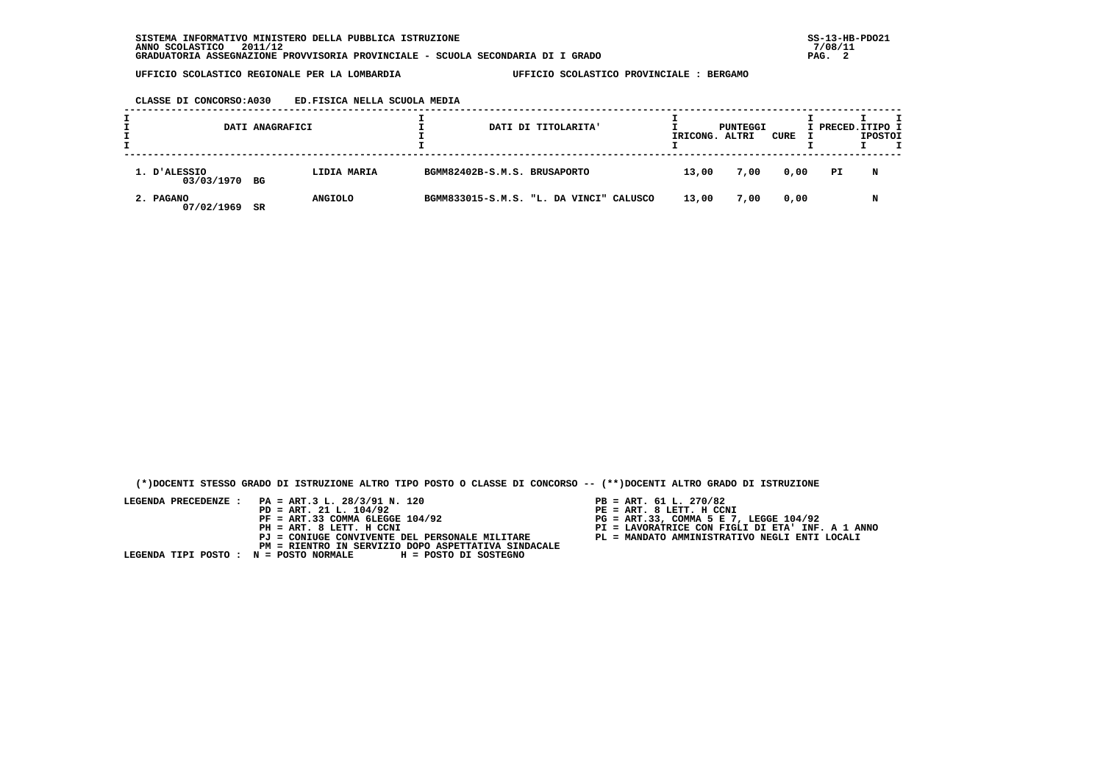#### **CLASSE DI CONCORSO:A030 ED.FISICA NELLA SCUOLA MEDIA**

| DATI ANAGRAFICI               |    |                | DATI DI TITOLARITA' | IRICONG. ALTRI                          | PUNTEGGI | CURE | I PRECED. ITIPO I | <b>IPOSTOI</b> | т |  |
|-------------------------------|----|----------------|---------------------|-----------------------------------------|----------|------|-------------------|----------------|---|--|
| 1. D'ALESSIO<br>03/03/1970 BG |    | LIDIA MARIA    |                     | BGMM82402B-S.M.S. BRUSAPORTO            | 13,00    | 7,00 | 0,00              | PI             | N |  |
| 2. PAGANO<br>07/02/1969       | SR | <b>ANGIOLO</b> |                     | BGMM833015-S.M.S. "L. DA VINCI" CALUSCO | 13,00    | 7,00 | 0,00              |                | N |  |

 **(\*)DOCENTI STESSO GRADO DI ISTRUZIONE ALTRO TIPO POSTO O CLASSE DI CONCORSO -- (\*\*)DOCENTI ALTRO GRADO DI ISTRUZIONE**

- 
- 
- 
- 
-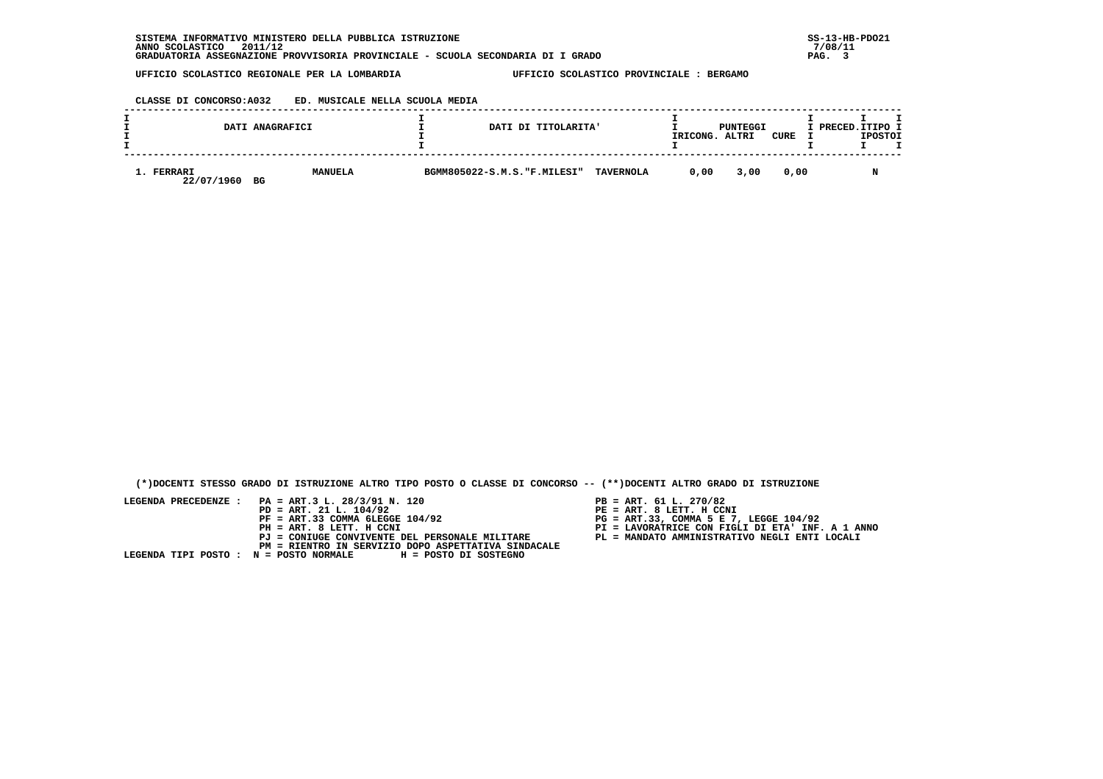**CLASSE DI CONCORSO:A032 ED. MUSICALE NELLA SCUOLA MEDIA**

|                          | DATI ANAGRAFICI | DATI DI TITOLARITA'         |                  | IRICONG. | PUNTEGGI<br>ALTRI | CURE | I PRECED.ITIPO I | <b>IPOSTOI</b> |  |
|--------------------------|-----------------|-----------------------------|------------------|----------|-------------------|------|------------------|----------------|--|
| 1. FERRARI<br>22/07/1960 | MANUELA<br>BG   | BGMM805022-S.M.S."F.MILESI" | <b>TAVERNOLA</b> | 0.00     | 3,00              | 0,00 |                  | M              |  |

 **(\*)DOCENTI STESSO GRADO DI ISTRUZIONE ALTRO TIPO POSTO O CLASSE DI CONCORSO -- (\*\*)DOCENTI ALTRO GRADO DI ISTRUZIONE**

- PB = ART. 61 L. 270/82<br>PE = ART. 8 LETT. H CCNI
- 
- 
- 
-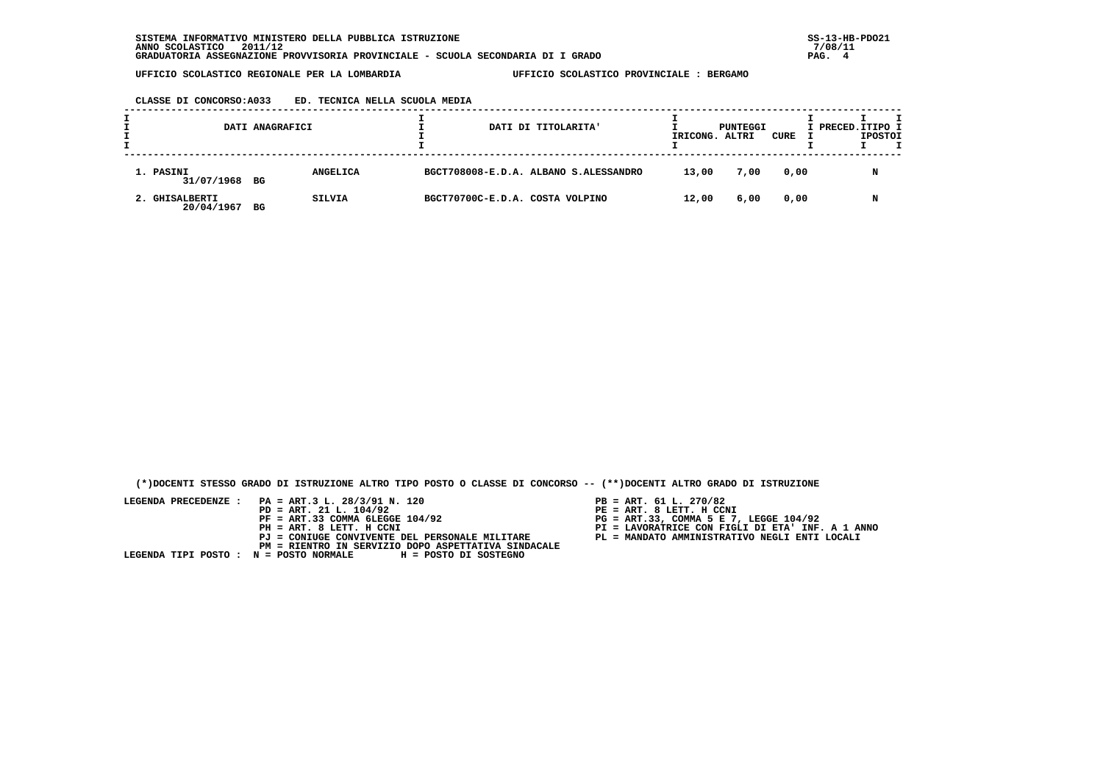### **CLASSE DI CONCORSO:A033 ED. TECNICA NELLA SCUOLA MEDIA**

| DATI ANAGRAFICI              |    |                 |                                 | DATI DI TITOLARITA'                   | IRICONG. | PUNTEGGI<br>ALTRI | CURE | I PRECED. ITIPO I | <b>IPOSTOI</b> |  |
|------------------------------|----|-----------------|---------------------------------|---------------------------------------|----------|-------------------|------|-------------------|----------------|--|
| 1. PASINI<br>31/07/1968 BG   |    | <b>ANGELICA</b> |                                 | BGCT708008-E.D.A. ALBANO S.ALESSANDRO | 13,00    | 7,00              | 0,00 |                   | N              |  |
| 2. GHISALBERTI<br>20/04/1967 | BG | SILVIA          | BGCT70700C-E.D.A. COSTA VOLPINO |                                       | 12,00    | 6,00              | 0,00 |                   | N              |  |

 **(\*)DOCENTI STESSO GRADO DI ISTRUZIONE ALTRO TIPO POSTO O CLASSE DI CONCORSO -- (\*\*)DOCENTI ALTRO GRADO DI ISTRUZIONE**

- 
- 
- 
- 
-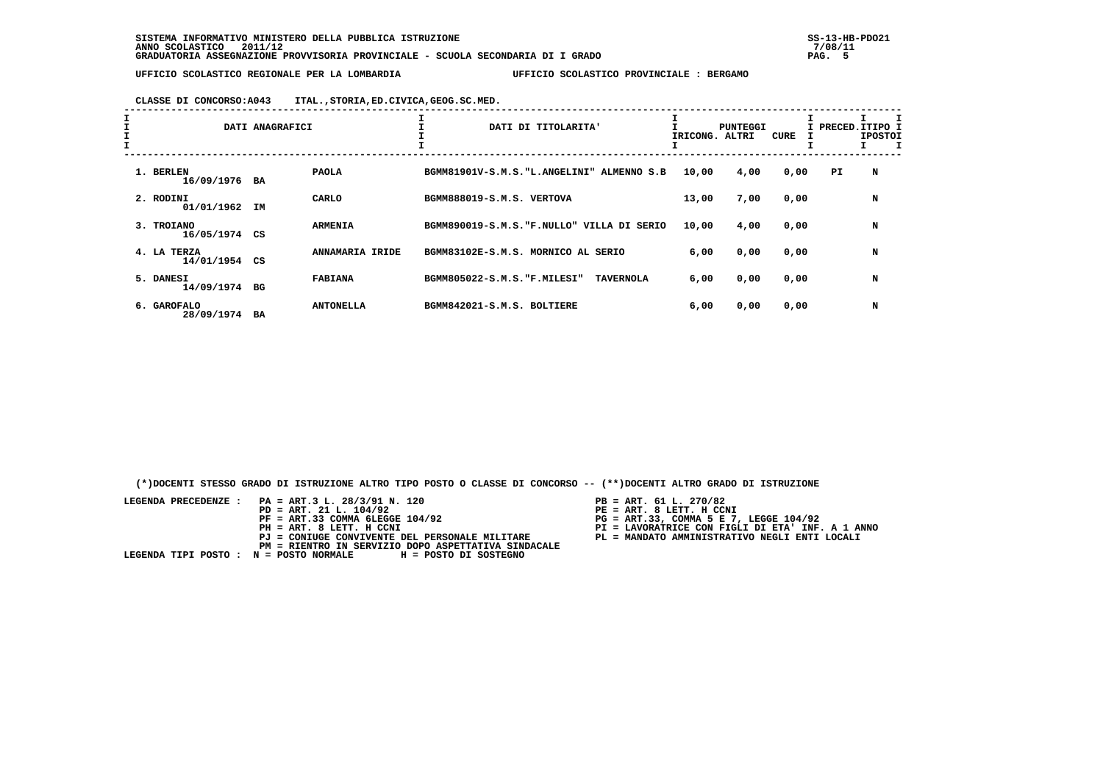**CLASSE DI CONCORSO:A043 ITAL.,STORIA,ED.CIVICA,GEOG.SC.MED.**

| I<br>$\mathbf{I}$<br>$\mathbf{I}$ |                            | DATI ANAGRAFICI |                  | DATI DI TITOLARITA'                |                                            | IRICONG. | <b>PUNTEGGI</b><br>ALTRI | CURE |     | I PRECED. ITIPO I<br><b>IPOSTOI</b> |
|-----------------------------------|----------------------------|-----------------|------------------|------------------------------------|--------------------------------------------|----------|--------------------------|------|-----|-------------------------------------|
|                                   | 1. BERLEN<br>16/09/1976 BA |                 | <b>PAOLA</b>     |                                    | BGMM81901V-S.M.S. "L.ANGELINI" ALMENNO S.B | 10,00    | 4,00                     | 0,00 | PI. | N                                   |
|                                   | 2. RODINI<br>01/01/1962    | IΜ              | CARLO            | BGMM888019-S.M.S. VERTOVA          |                                            | 13,00    | 7,00                     | 0,00 |     | N                                   |
|                                   | 3. TROIANO<br>16/05/1974   | CS              | <b>ARMENIA</b>   |                                    | BGMM890019-S.M.S. "F.NULLO" VILLA DI SERIO | 10,00    | 4,00                     | 0,00 |     | N                                   |
|                                   | 4. LA TERZA<br>14/01/1954  | CS              | ANNAMARIA IRIDE  | BGMM83102E-S.M.S. MORNICO AL SERIO |                                            | 6,00     | 0,00                     | 0,00 |     | N                                   |
|                                   | 5. DANESI<br>14/09/1974 BG |                 | <b>FABIANA</b>   | BGMM805022-S.M.S. "F.MILESI"       | <b>TAVERNOLA</b>                           | 6,00     | 0,00                     | 0,00 |     | N                                   |
|                                   | 6. GAROFALO<br>28/09/1974  | BA              | <b>ANTONELLA</b> | BGMM842021-S.M.S. BOLTIERE         |                                            | 6,00     | 0,00                     | 0,00 |     | N                                   |

 **(\*)DOCENTI STESSO GRADO DI ISTRUZIONE ALTRO TIPO POSTO O CLASSE DI CONCORSO -- (\*\*)DOCENTI ALTRO GRADO DI ISTRUZIONE**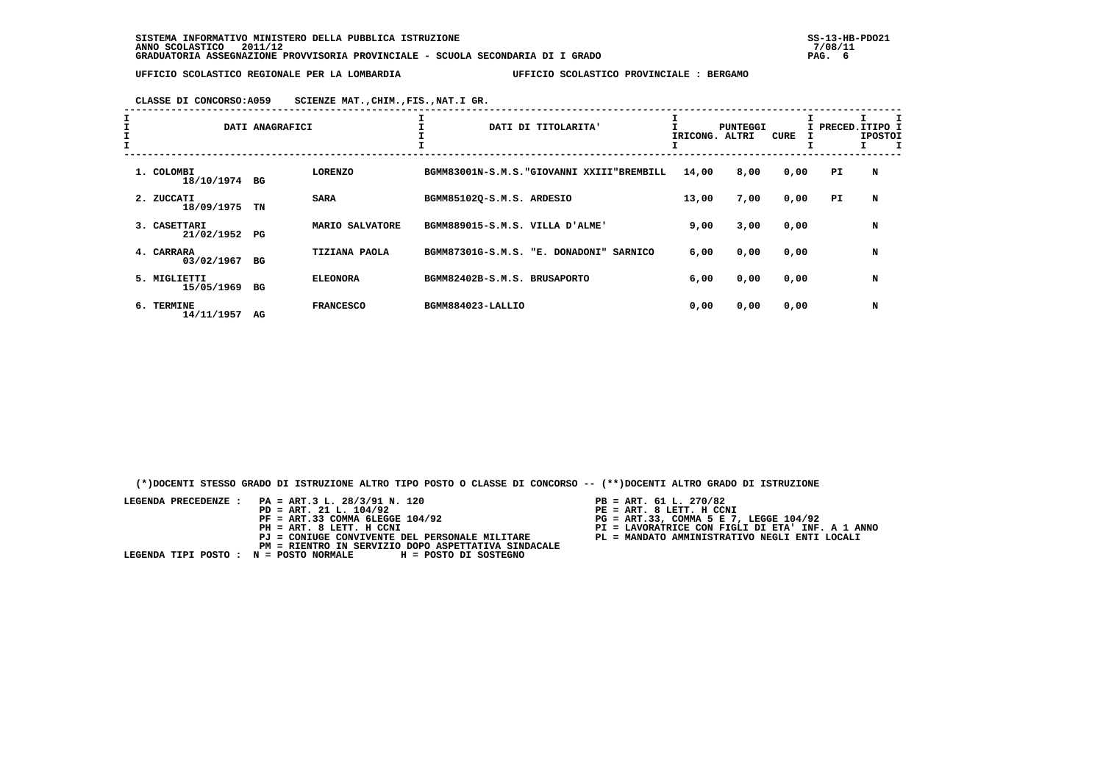**CLASSE DI CONCORSO:A059 SCIENZE MAT.,CHIM.,FIS.,NAT.I GR.**

| I<br>$\mathbf{I}$<br>$\mathbf{I}$ |                               | DATI ANAGRAFICI |                      | DATI DI TITOLARITA'                               | IRICONG. ALTRI | PUNTEGGI | <b>CURE</b> |     | I PRECED.ITIPO I<br><b>IPOSTOI</b> |
|-----------------------------------|-------------------------------|-----------------|----------------------|---------------------------------------------------|----------------|----------|-------------|-----|------------------------------------|
|                                   | 1. COLOMBI<br>18/10/1974 BG   |                 | <b>LORENZO</b>       | BGMM83001N-S.M.S. "GIOVANNI XXIII"BREMBILL        | 14,00          | 8,00     | 0,00        | PI. | N                                  |
|                                   | 2. ZUCCATI<br>18/09/1975      | TN              | <b>SARA</b>          | BGMM851020-S.M.S. ARDESIO                         | 13,00          | 7,00     | 0,00        | PI. | N                                  |
|                                   | 3. CASETTARI<br>21/02/1952    | PG              | MARIO SALVATORE      | BGMM889015-S.M.S. VILLA D'ALME'                   | 9,00           | 3,00     | 0,00        |     | N                                  |
|                                   | 4. CARRARA<br>03/02/1967      | BG              | <b>TIZIANA PAOLA</b> | BGMM87301G-S.M.S. "E. DONADONI"<br><b>SARNICO</b> | 6,00           | 0,00     | 0,00        |     | N                                  |
|                                   | 5. MIGLIETTI<br>15/05/1969 BG |                 | <b>ELEONORA</b>      | BGMM82402B-S.M.S. BRUSAPORTO                      | 6,00           | 0,00     | 0,00        |     | N                                  |
|                                   | 6. TERMINE<br>14/11/1957      | AG              | <b>FRANCESCO</b>     | BGMM884023-LALLIO                                 | 0,00           | 0,00     | 0,00        |     | N                                  |

 **(\*)DOCENTI STESSO GRADO DI ISTRUZIONE ALTRO TIPO POSTO O CLASSE DI CONCORSO -- (\*\*)DOCENTI ALTRO GRADO DI ISTRUZIONE**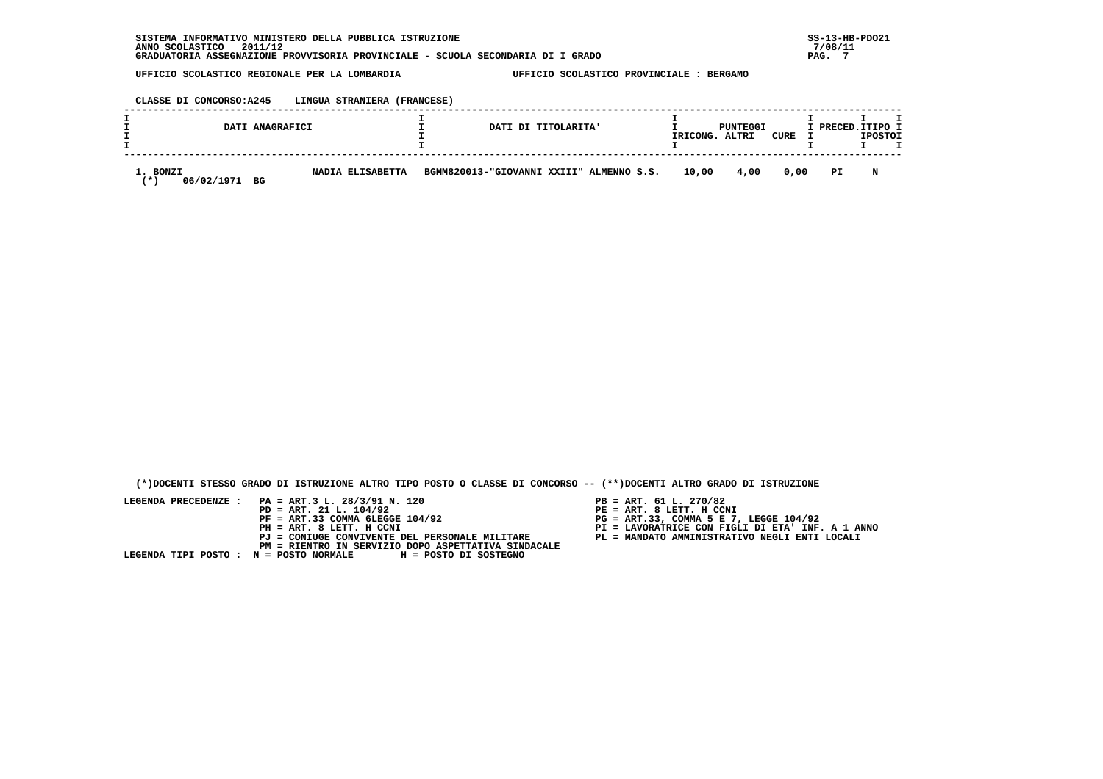### **CLASSE DI CONCORSO:A245 LINGUA STRANIERA (FRANCESE)**

| DATI ANAGRAFICI                           |                  | DATI DI TITOLARITA'                      | IRICONG. | PUNTEGGI<br>ALTRI | CURE | I PRECED. ITIPO I | <b>IPOSTOI</b> |  |
|-------------------------------------------|------------------|------------------------------------------|----------|-------------------|------|-------------------|----------------|--|
| 1. BONZI<br>06/02/1971<br>BG<br><b>⁄*</b> | NADIA ELISABETTA | BGMM820013-"GIOVANNI XXIII" ALMENNO S.S. | 10,00    | 4,00              | 0.00 | PI                | N              |  |

 **(\*)DOCENTI STESSO GRADO DI ISTRUZIONE ALTRO TIPO POSTO O CLASSE DI CONCORSO -- (\*\*)DOCENTI ALTRO GRADO DI ISTRUZIONE**

- PB = ART. 61 L. 270/82<br>PE = ART. 8 LETT. H CCNI
- 
- 
- 
-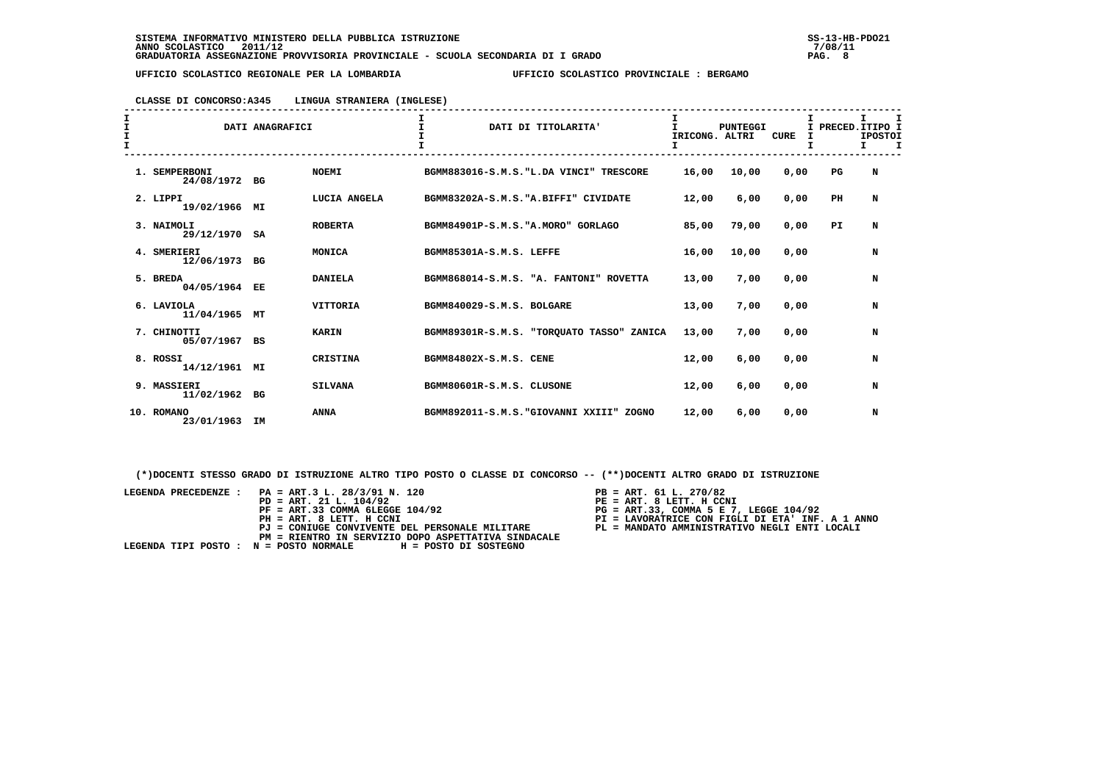# **CLASSE DI CONCORSO:A345 LINGUA STRANIERA (INGLESE)**

| $\frac{1}{1}$<br>$\mathbf{I}$ |                              | DATI ANAGRAFICI |                 |                                      | DATI DI TITOLARITA'                       | IRICONG, ALTRI<br>I | <b>PUNTEGGI</b> | <b>CURE</b><br>I | Τ.          | т<br>PRECED.ITIPO I<br><b>IPOSTOI</b><br>I.<br>I |
|-------------------------------|------------------------------|-----------------|-----------------|--------------------------------------|-------------------------------------------|---------------------|-----------------|------------------|-------------|--------------------------------------------------|
|                               | 1. SEMPERBONI<br>24/08/1972  | BG              | <b>NOEMI</b>    |                                      | BGMM883016-S.M.S. "L.DA VINCI" TRESCORE   | 16,00               | 10,00           | 0,00             | $_{\rm PG}$ | N                                                |
|                               | 2. LIPPI<br>19/02/1966       | МI              | LUCIA ANGELA    | BGMM83202A-S.M.S. "A.BIFFI" CIVIDATE |                                           | 12,00               | 6,00            | 0,00             | PH          | N                                                |
|                               | 3. NAIMOLI<br>29/12/1970 SA  |                 | <b>ROBERTA</b>  | BGMM84901P-S.M.S. "A.MORO" GORLAGO   |                                           | 85,00               | 79,00           | 0,00             | PI.         | N                                                |
|                               | 4. SMERIERI<br>12/06/1973 BG |                 | MONICA          | BGMM85301A-S.M.S. LEFFE              |                                           | 16,00               | 10,00           | 0,00             |             | N                                                |
|                               | 5. BREDA<br>04/05/1964 EE    |                 | <b>DANIELA</b>  |                                      | BGMM868014-S.M.S. "A. FANTONI" ROVETTA    | 13,00               | 7,00            | 0.00             |             | N                                                |
|                               | 6. LAVIOLA<br>11/04/1965     | МT              | <b>VITTORIA</b> | BGMM840029-S.M.S. BOLGARE            |                                           | 13,00               | 7,00            | 0.00             |             | N                                                |
|                               | 7. CHINOTTI<br>05/07/1967 BS |                 | <b>KARIN</b>    |                                      | BGMM89301R-S.M.S. "TORQUATO TASSO" ZANICA | 13,00               | 7,00            | 0,00             |             | N                                                |
|                               | 8. ROSSI<br>14/12/1961 MI    |                 | CRISTINA        | BGMM84802X-S.M.S. CENE               |                                           | 12,00               | 6,00            | 0,00             |             | N                                                |
|                               | 9. MASSIERI<br>11/02/1962    | BG              | <b>SILVANA</b>  | BGMM80601R-S.M.S. CLUSONE            |                                           | 12,00               | 6,00            | 0,00             |             | N                                                |
|                               | 10. ROMANO<br>23/01/1963     | IM              | <b>ANNA</b>     | BGMM892011-S.M.S. "GIOVANNI XXIII"   | ZOGNO                                     | 12,00               | 6,00            | 0,00             |             | N                                                |

 **(\*)DOCENTI STESSO GRADO DI ISTRUZIONE ALTRO TIPO POSTO O CLASSE DI CONCORSO -- (\*\*)DOCENTI ALTRO GRADO DI ISTRUZIONE**

| LEGENDA PRECEDENZE : PA = ART.3 L. 28/3/91 N. 120            | $PB = ART. 61 L. 270/82$                         |
|--------------------------------------------------------------|--------------------------------------------------|
| $PD = ART. 21 L. 104/92$                                     | PE = ART. 8 LETT. H CCNI                         |
| $PF = ART.33 COMMA 6LEGGE 104/92$                            | $PG = ART.33$ , COMMA 5 E 7, LEGGE 104/92        |
| PH = ART. 8 LETT. H CCNI                                     | PI = LAVORATRICE CON FIGLI DI ETA' INF. A 1 ANNO |
| PJ = CONIUGE CONVIVENTE DEL PERSONALE MILITARE               | PL = MANDATO AMMINISTRATIVO NEGLI ENTI LOCALI    |
| PM = RIENTRO IN SERVIZIO DOPO ASPETTATIVA SINDACALE          |                                                  |
| LEGENDA TIPI POSTO : N = POSTO NORMALE H = POSTO DI SOSTEGNO |                                                  |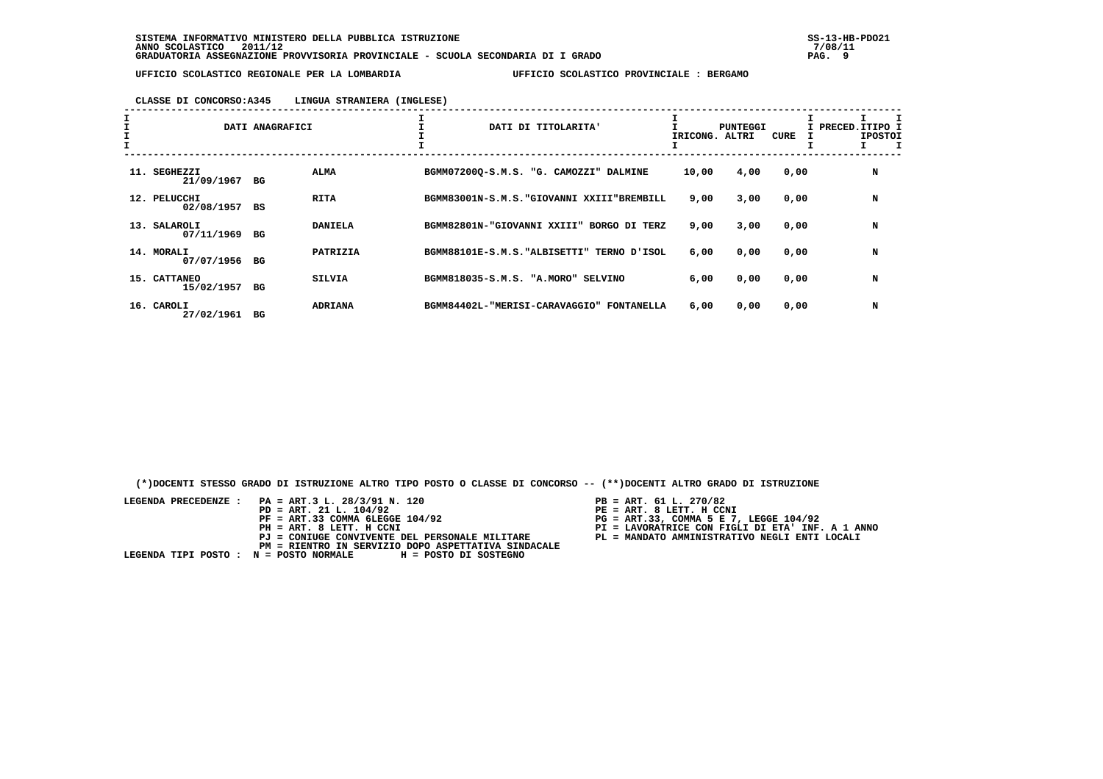### **CLASSE DI CONCORSO:A345 LINGUA STRANIERA (INGLESE)**

|                               | DATI ANAGRAFICI |                | DATI DI TITOLARITA'                                 | IRICONG. ALTRI | <b>PUNTEGGI</b> | CURE | I PRECED.ITIPO I<br><b>IPOSTOI</b> |
|-------------------------------|-----------------|----------------|-----------------------------------------------------|----------------|-----------------|------|------------------------------------|
| 11. SEGHEZZI<br>21/09/1967 BG |                 | ALMA           | BGMM07200Q-S.M.S. "G. CAMOZZI" DALMINE              | 10,00          | 4,00            | 0,00 | N                                  |
| 12. PELUCCHI<br>02/08/1957 BS |                 | <b>RITA</b>    | BGMM83001N-S.M.S. "GIOVANNI XXIII"BREMBILL          | 9,00           | 3,00            | 0,00 | N                                  |
| 13. SALAROLI<br>07/11/1969    | BG              | <b>DANIELA</b> | BGMM82801N-"GIOVANNI XXIII" BORGO DI TERZ           | 9,00           | 3,00            | 0,00 | N                                  |
| 14. MORALI<br>07/07/1956 BG   |                 | PATRIZIA       | BGMM88101E-S.M.S. "ALBISETTI" TERNO D'ISOL          | 6,00           | 0,00            | 0,00 | N                                  |
| 15. CATTANEO<br>15/02/1957 BG |                 | <b>SILVIA</b>  | BGMM818035-S.M.S. "A.MORO" SELVINO                  | 6,00           | 0,00            | 0,00 | N                                  |
| 16. CAROLI<br>27/02/1961      | BG              | <b>ADRIANA</b> | BGMM84402L-"MERISI-CARAVAGGIO"<br><b>FONTANELLA</b> | 6,00           | 0,00            | 0,00 | N                                  |

 **(\*)DOCENTI STESSO GRADO DI ISTRUZIONE ALTRO TIPO POSTO O CLASSE DI CONCORSO -- (\*\*)DOCENTI ALTRO GRADO DI ISTRUZIONE**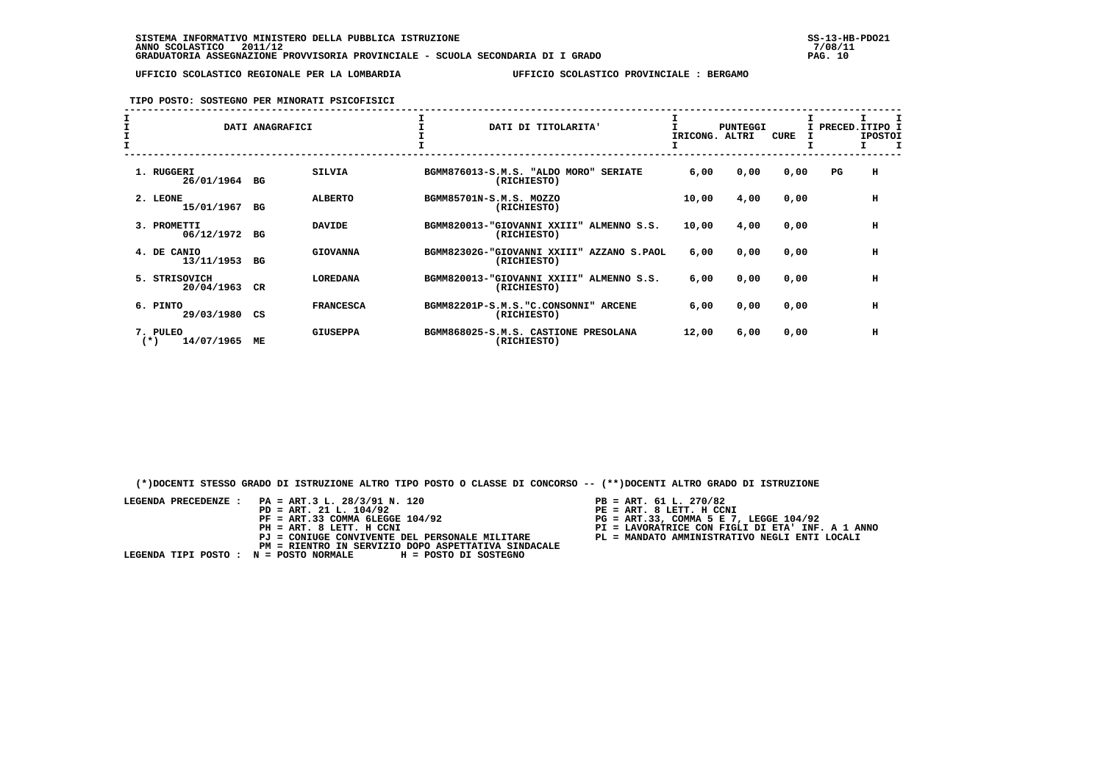## **TIPO POSTO: SOSTEGNO PER MINORATI PSICOFISICI**

| $\mathbf{I}$ | DATI ANAGRAFICI                 |    |                  | DATI DI TITOLARITA'                                            | IRICONG. | PUNTEGGI<br>ALTRI | <b>CURE</b> | I PRECED. ITIPO I | <b>IPOSTOI</b> |
|--------------|---------------------------------|----|------------------|----------------------------------------------------------------|----------|-------------------|-------------|-------------------|----------------|
|              | 1. RUGGERI<br>26/01/1964        | BG | <b>SILVIA</b>    | BGMM876013-S.M.S. "ALDO MORO"<br><b>SERIATE</b><br>(RICHIESTO) | 6,00     | 0,00              | 0,00        | $_{\rm PG}$       | н              |
|              | 2. LEONE<br>15/01/1967          | BG | <b>ALBERTO</b>   | BGMM85701N-S.M.S. MOZZO<br>(RICHIESTO)                         | 10,00    | 4,00              | 0,00        |                   | н              |
|              | 3. PROMETTI<br>06/12/1972       | BG | <b>DAVIDE</b>    | BGMM820013-"GIOVANNI XXIII"<br>ALMENNO S.S.<br>(RICHIESTO)     | 10,00    | 4,00              | 0,00        |                   | н              |
|              | 4. DE CANIO<br>13/11/1953       | BG | <b>GIOVANNA</b>  | BGMM82302G-"GIOVANNI XXIII"<br>AZZANO S.PAOL<br>(RICHIESTO)    | 6,00     | 0,00              | 0,00        |                   | н              |
|              | 5.<br>STRISOVICH<br>20/04/1963  | CR | <b>LOREDANA</b>  | BGMM820013-"GIOVANNI XXIII"<br>ALMENNO S.S.<br>(RICHIESTO)     | 6,00     | 0,00              | 0,00        |                   | н              |
|              | 6. PINTO<br>29/03/1980          | CS | <b>FRANCESCA</b> | BGMM82201P-S.M.S."C.CONSONNI"<br><b>ARCENE</b><br>(RICHIESTO)  | 6,00     | 0,00              | 0,00        |                   | н              |
|              | 7. PULEO<br>14/07/1965<br>$(*)$ | ME | <b>GIUSEPPA</b>  | BGMM868025-S.M.S. CASTIONE PRESOLANA<br>(RICHIESTO)            | 12,00    | 6,00              | 0,00        |                   | н              |

 **(\*)DOCENTI STESSO GRADO DI ISTRUZIONE ALTRO TIPO POSTO O CLASSE DI CONCORSO -- (\*\*)DOCENTI ALTRO GRADO DI ISTRUZIONE**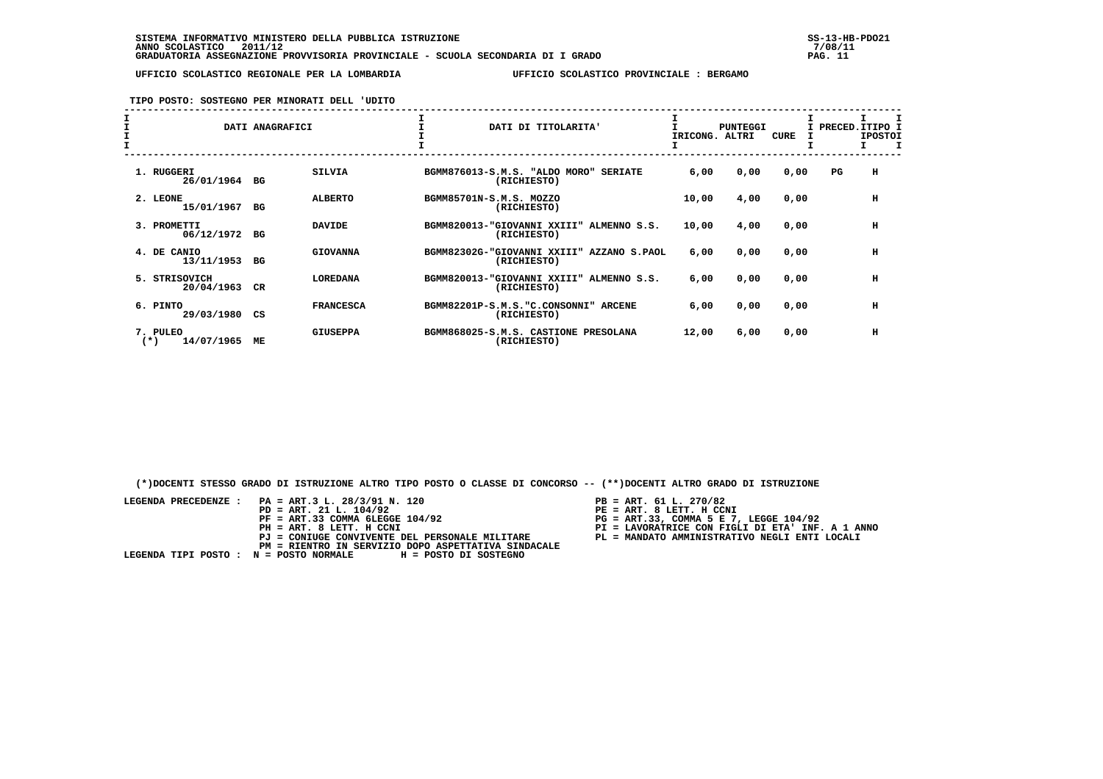## **TIPO POSTO: SOSTEGNO PER MINORATI DELL 'UDITO**

| $\mathbf{I}$ |                                 | DATI ANAGRAFICI |                  | DATI DI TITOLARITA'                                            | IRICONG. | <b>PUNTEGGI</b><br>ALTRI | <b>CURE</b> |    | I PRECED.ITIPO I<br><b>IPOSTOI</b> |
|--------------|---------------------------------|-----------------|------------------|----------------------------------------------------------------|----------|--------------------------|-------------|----|------------------------------------|
|              | 1. RUGGERI<br>26/01/1964        | BG              | <b>SILVIA</b>    | BGMM876013-S.M.S. "ALDO MORO"<br><b>SERIATE</b><br>(RICHIESTO) | 6,00     | 0,00                     | 0,00        | PG | н                                  |
|              | 2. LEONE<br>15/01/1967          | BG              | <b>ALBERTO</b>   | BGMM85701N-S.M.S. MOZZO<br>(RICHIESTO)                         | 10,00    | 4,00                     | 0,00        |    | н                                  |
|              | 3. PROMETTI<br>06/12/1972       | BG              | <b>DAVIDE</b>    | BGMM820013-"GIOVANNI XXIII"<br>ALMENNO S.S.<br>(RICHIESTO)     | 10,00    | 4,00                     | 0,00        |    | н                                  |
|              | 4. DE CANIO<br>13/11/1953       | BG              | <b>GIOVANNA</b>  | BGMM82302G-"GIOVANNI XXIII" AZZANO S.PAOL<br>(RICHIESTO)       | 6,00     | 0,00                     | 0,00        |    | н                                  |
|              | 5. STRISOVICH<br>20/04/1963     | CR              | <b>LOREDANA</b>  | BGMM820013-"GIOVANNI XXIII"<br>ALMENNO S.S.<br>(RICHIESTO)     | 6,00     | 0,00                     | 0,00        |    | н                                  |
|              | 6. PINTO<br>29/03/1980          | CS              | <b>FRANCESCA</b> | BGMM82201P-S.M.S."C.CONSONNI"<br><b>ARCENE</b><br>(RICHIESTO)  | 6,00     | 0,00                     | 0,00        |    | н                                  |
|              | 7. PULEO<br>14/07/1965<br>$(*)$ | ME              | <b>GIUSEPPA</b>  | BGMM868025-S.M.S. CASTIONE PRESOLANA<br>(RICHIESTO)            | 12,00    | 6,00                     | 0,00        |    | н                                  |

 **(\*)DOCENTI STESSO GRADO DI ISTRUZIONE ALTRO TIPO POSTO O CLASSE DI CONCORSO -- (\*\*)DOCENTI ALTRO GRADO DI ISTRUZIONE**